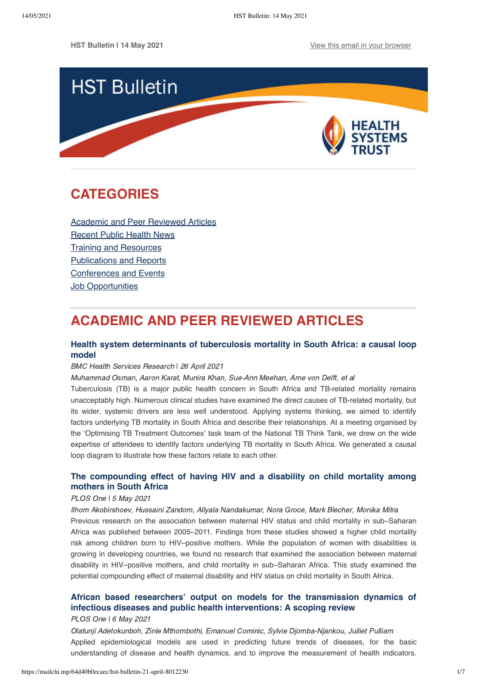

# <span id="page-0-1"></span>**CATEGORIES**

[Academic and Peer Reviewed Articles](#page-0-0) [Recent Public Health News](#page-1-0) Training and Resources [Publications and Reports](#page-3-0) [Conferences and Events](#page-4-0) **[Job Opportunities](#page-5-0)** 

# <span id="page-0-0"></span>**ACADEMIC AND PEER REVIEWED ARTICLES**

## **[Health system determinants of tuberculosis mortality in South Africa: a causal loop](https://link.springer.com/article/10.1186/s12913-021-06398-0) model**

## BMC Health Services Research | 26 April 2021

Muhammad Osman, Aaron Karat, Munira Khan, Sue-Ann Meehan, Arne von Delft, et al

Tuberculosis (TB) is a major public health concern in South Africa and TB-related mortality remains unacceptably high. Numerous clinical studies have examined the direct causes of TB-related mortality, but its wider, systemic drivers are less well understood. Applying systems thinking, we aimed to identify factors underlying TB mortality in South Africa and describe their relationships. At a meeting organised by the 'Optimising TB Treatment Outcomes' task team of the National TB Think Tank, we drew on the wide expertise of attendees to identify factors underlying TB mortality in South Africa. We generated a causal loop diagram to illustrate how these factors relate to each other.

## **[The compounding effect of having HIV and a disability on child mortality among](https://journals.plos.org/plosone/article?id=10.1371/journal.pone.0251183) mothers in South Africa**

## PLOS One I 5 May 2021

Ilhom Akobirshoev, Hussaini Zandom, Allyala Nandakumar, Nora Groce, Mark Blecher, Monika Mitra Previous research on the association between maternal HIV status and child mortality in sub–Saharan Africa was published between 2005–2011. Findings from these studies showed a higher child mortality risk among children born to HIV–positive mothers. While the population of women with disabilities is growing in developing countries, we found no research that examined the association between maternal disability in HIV–positive mothers, and child mortality in sub–Saharan Africa. This study examined the potential compounding effect of maternal disability and HIV status on child mortality in South Africa.

# **[African based researchers' output on models for the transmission dynamics of](https://journals.plos.org/plosone/article?id=10.1371/journal.pone.0250086) infectious diseases and public health interventions: A scoping review**

## PLOS One ǀ 6 May 2021

Olatunji Adetokunboh, Zinle Mthombothi, Emanuel Cominic, Sylvie Djomba-Njankou, Juiliet Pulliam Applied epidemiological models are used in predicting future trends of diseases, for the basic understanding of disease and health dynamics, and to improve the measurement of health indicators.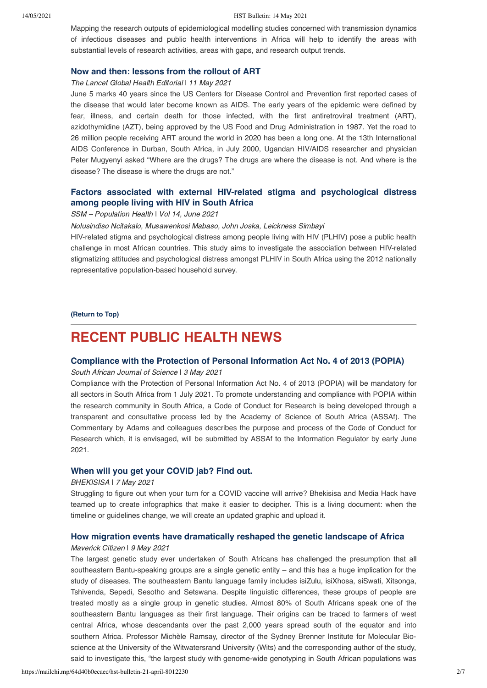#### 14/05/2021 HST Bulletin: 14 May 2021

Mapping the research outputs of epidemiological modelling studies concerned with transmission dynamics of infectious diseases and public health interventions in Africa will help to identify the areas with substantial levels of research activities, areas with gaps, and research output trends.

## **[Now and then: lessons from the rollout of ART](https://www.thelancet.com/journals/langlo/article/PIIS2214-109X(21)00222-9/fulltext)**

#### The Lancet Global Health Editorial | 11 May 2021

June 5 marks 40 years since the US Centers for Disease Control and Prevention first reported cases of the disease that would later become known as AIDS. The early years of the epidemic were defined by fear, illness, and certain death for those infected, with the first antiretroviral treatment (ART), azidothymidine (AZT), being approved by the US Food and Drug Administration in 1987. Yet the road to 26 million people receiving ART around the world in 2020 has been a long one. At the 13th International AIDS Conference in Durban, South Africa, in July 2000, Ugandan HIV/AIDS researcher and physician Peter Mugyenyi asked "Where are the drugs? The drugs are where the disease is not. And where is the disease? The disease is where the drugs are not."

## **[Factors associated with external HIV-related stigma and psychological distress](https://www.sciencedirect.com/science/article/pii/S2352827321000847) among people living with HIV in South Africa**

#### SSM - Population Health \ Vol 14, June 2021

Nolusindiso Ncitakalo, Musawenkosi Mabaso, John Joska, Leickness Simbayi

HIV-related stigma and psychological distress among people living with HIV (PLHIV) pose a public health challenge in most African countries. This study aims to investigate the association between HIV-related stigmatizing attitudes and psychological distress amongst PLHIV in South Africa using the 2012 nationally representative population-based household survey.

### **[\(Return to Top\)](#page-0-1)**

# <span id="page-1-0"></span>**RECENT PUBLIC HEALTH NEWS**

## **[Compliance with the Protection of Personal Information Act No. 4 of 2013 \(POPIA\)](https://sajs.co.za/issue/view/832)**

#### South African Journal of Science I 3 May 2021

Compliance with the Protection of Personal Information Act No. 4 of 2013 (POPIA) will be mandatory for all sectors in South Africa from 1 July 2021. To promote understanding and compliance with POPIA within the research community in South Africa, a Code of Conduct for Research is being developed through a transparent and consultative process led by the Academy of Science of South Africa (ASSAf). The Commentary by Adams and colleagues describes the purpose and process of the Code of Conduct for Research which, it is envisaged, will be submitted by ASSAf to the Information Regulator by early June 2021.

## **[When will you get your COVID jab? Find out.](https://bhekisisa.org/article/2021-05-07-when-will-you-get-your-covid-jab-find-out/)**

#### BHEKISISA | 7 May 2021

Struggling to figure out when your turn for a COVID vaccine will arrive? Bhekisisa and Media Hack have teamed up to create infographics that make it easier to decipher. This is a living document: when the timeline or guidelines change, we will create an updated graphic and upload it.

## **[How migration events have dramatically reshaped the genetic landscape of Africa](https://www.dailymaverick.co.za/article/2021-05-09-how-migration-events-have-dramatically-reshaped-the-genetic-landscape-of-africa/)**

#### Maverick Citizen ǀ 9 May 2021

The largest genetic study ever undertaken of South Africans has challenged the presumption that all southeastern Bantu-speaking groups are a single genetic entity – and this has a huge implication for the study of diseases. The southeastern Bantu language family includes isiZulu, isiXhosa, siSwati, Xitsonga, Tshivenda, Sepedi, Sesotho and Setswana. Despite linguistic differences, these groups of people are treated mostly as a single group in genetic studies. Almost 80% of South Africans speak one of the southeastern Bantu languages as their first language. Their origins can be traced to farmers of west central Africa, whose descendants over the past 2,000 years spread south of the equator and into southern Africa. Professor Michèle Ramsay, director of the Sydney Brenner Institute for Molecular Bioscience at the University of the Witwatersrand University (Wits) and the corresponding author of the study, said to investigate this, "the largest study with genome-wide genotyping in South African populations was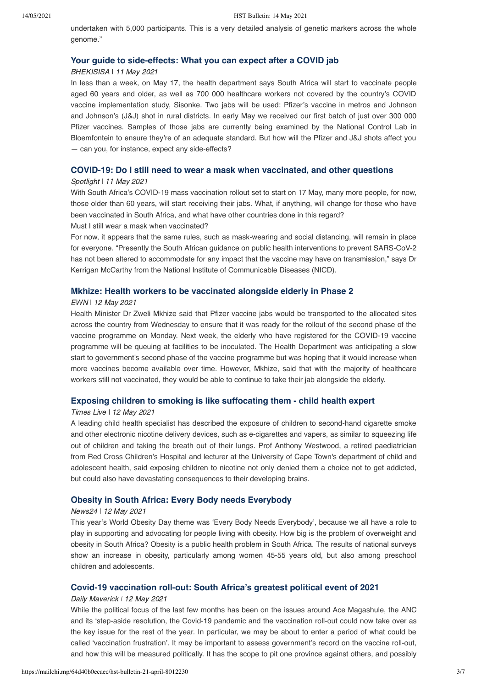undertaken with 5,000 participants. This is a very detailed analysis of genetic markers across the whole genome."

#### **[Your guide to side-effects: What you can expect after a COVID jab](https://bhekisisa.org/resources/2021-05-11-your-guide-to-side-effects-what-you-can-expect-after-a-covid-jab/)**

#### BHEKISISA ǀ 11 May 2021

In less than a week, on May 17, the health department says South Africa will start to vaccinate people aged 60 years and older, as well as 700 000 healthcare workers not covered by the country's COVID vaccine implementation study, Sisonke. Two jabs will be used: Pfizer's vaccine in metros and Johnson and Johnson's (J&J) shot in rural districts. In early May we received our first batch of just over 300 000 Pfizer vaccines. Samples of those jabs are currently being examined by the National Control Lab in Bloemfontein to ensure they're of an adequate standard. But how will the Pfizer and J&J shots affect you — can you, for instance, expect any side-effects?

## **[COVID-19: Do I still need to wear a mask when vaccinated, and other questions](https://www.spotlightnsp.co.za/2021/05/11/covid-19-do-i-still-need-to-wear-a-mask-when-vaccinated-and-other-questions/)**

### Spotlight | 11 May 2021

With South Africa's COVID-19 mass vaccination rollout set to start on 17 May, many more people, for now, those older than 60 years, will start receiving their jabs. What, if anything, will change for those who have been vaccinated in South Africa, and what have other countries done in this regard? Must I still wear a mask when vaccinated?

For now, it appears that the same rules, such as mask-wearing and social distancing, will remain in place for everyone. "Presently the South African guidance on public health interventions to prevent SARS-CoV-2 has not been altered to accommodate for any impact that the vaccine may have on transmission," says Dr Kerrigan McCarthy from the National Institute of Communicable Diseases (NICD).

## **[Mkhize: Health workers to be vaccinated alongside elderly in Phase 2](https://ewn.co.za/2021/05/11/health-workers-to-continue-to-be-vaccinated-alongside-elderly-in-phase-2-mkhize)**

#### EWN ǀ 12 May 2021

Health Minister Dr Zweli Mkhize said that Pfizer vaccine jabs would be transported to the allocated sites across the country from Wednesday to ensure that it was ready for the rollout of the second phase of the vaccine programme on Monday. Next week, the elderly who have registered for the COVID-19 vaccine programme will be queuing at facilities to be inoculated. The Health Department was anticipating a slow start to government's second phase of the vaccine programme but was hoping that it would increase when more vaccines become available over time. However, Mkhize, said that with the majority of healthcare workers still not vaccinated, they would be able to continue to take their jab alongside the elderly.

## **[Exposing children to smoking is like suffocating them - child health expert](https://www.timeslive.co.za/news/south-africa/2021-05-12-exposing-children-to-smoking-is-like-suffocating-them-child-health-expert/)**

#### Times Live ǀ 12 May 2021

A leading child health specialist has described the exposure of children to second-hand cigarette smoke and other electronic nicotine delivery devices, such as e-cigarettes and vapers, as similar to squeezing life out of children and taking the breath out of their lungs. Prof Anthony Westwood, a retired paediatrician from Red Cross Children's Hospital and lecturer at the University of Cape Town's department of child and adolescent health, said exposing children to nicotine not only denied them a choice not to get addicted, but could also have devastating consequences to their developing brains.

## **[Obesity in South Africa: Every Body needs Everybody](https://www.news24.com/health24/diet-and-nutrition/opinion-obesity-in-south-africa-every-body-needs-everybody-20210512)**

#### News24 ǀ 12 May 2021

This year's World Obesity Day theme was 'Every Body Needs Everybody', because we all have a role to play in supporting and advocating for people living with obesity. How big is the problem of overweight and obesity in South Africa? Obesity is a public health problem in South Africa. The results of national surveys show an increase in obesity, particularly among women 45-55 years old, but also among preschool children and adolescents.

## **[Covid-19 vaccination roll-out: South Africa's greatest political event of 2021](https://www.dailymaverick.co.za/article/2021-05-12-covid-19-vaccination-roll-out-south-africas-greatest-political-event-of-2021/)**

#### Daily Maverick *ǀ* 12 May 2021

While the political focus of the last few months has been on the issues around Ace Magashule, the ANC and its 'step-aside resolution, the Covid-19 pandemic and the vaccination roll-out could now take over as the key issue for the rest of the year. In particular, we may be about to enter a period of what could be called 'vaccination frustration'. It may be important to assess government's record on the vaccine roll-out, and how this will be measured politically. It has the scope to pit one province against others, and possibly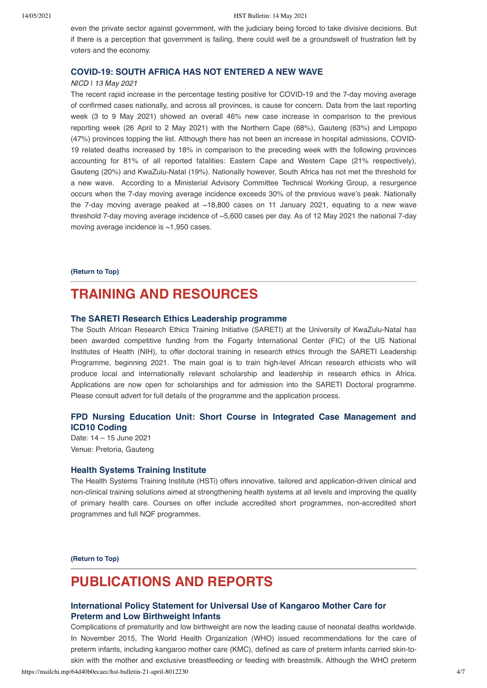even the private sector against government, with the judiciary being forced to take divisive decisions. But if there is a perception that government is failing, there could well be a groundswell of frustration felt by voters and the economy.

### **[COVID-19: SOUTH AFRICA HAS NOT ENTERED A NEW WAVE](https://www.nicd.ac.za/covid-19-south-africa-has-not-entered-a-new-wave/)**

## NICD ǀ 13 May 2021

The recent rapid increase in the percentage testing positive for COVID-19 and the 7-day moving average of confirmed cases nationally, and across all provinces, is cause for concern. Data from the last reporting week (3 to 9 May 2021) showed an overall 46% new case increase in comparison to the previous reporting week (26 April to 2 May 2021) with the Northern Cape (68%), Gauteng (63%) and Limpopo (47%) provinces topping the list. Although there has not been an increase in hospital admissions, COVID-19 related deaths increased by 18% in comparison to the preceding week with the following provinces accounting for 81% of all reported fatalities: Eastern Cape and Western Cape (21% respectively), Gauteng (20%) and KwaZulu-Natal (19%). Nationally however, South Africa has not met the threshold for a new wave. According to a Ministerial Advisory Committee Technical Working Group, a resurgence occurs when the 7-day moving average incidence exceeds 30% of the previous wave's peak. Nationally the 7-day moving average peaked at  $~18,800$  cases on 11 January 2021, equating to a new wave threshold 7-day moving average incidence of ~5,600 cases per day. As of 12 May 2021 the national 7-day moving average incidence is ~1,950 cases.

#### **[\(Return to Top\)](#page-0-1)**

# <span id="page-3-0"></span>**TRAINING AND RESOURCES**

### **[The SARETI Research Ethics Leadership programme](http://sareti.ukzn.ac.za/DoctoralProgramme.aspx)**

The South African Research Ethics Training Initiative (SARETI) at the University of KwaZulu-Natal has been awarded competitive funding from the Fogarty International Center (FIC) of the US National Institutes of Health (NIH), to offer doctoral training in research ethics through the SARETI Leadership Programme, beginning 2021. The main goal is to train high-level African research ethicists who will produce local and internationally relevant scholarship and leadership in research ethics in Africa. Applications are now open for scholarships and for admission into the SARETI Doctoral programme. Please consult advert for full details of the programme and the application process.

## **[FPD Nursing Education Unit: Short Course in Integrated Case Management and](https://www.foundation.co.za/course/396/short-course-in-integrated-case-management-and-icd10-coding) ICD10 Coding**

Date: 14 – 15 June 2021 Venue: Pretoria, Gauteng

#### **[Health Systems Training Institute](https://www.hstinstitute.co.za/Training)**

The Health Systems Training Institute (HSTi) offers innovative, tailored and application-driven clinical and non-clinical training solutions aimed at strengthening health systems at all levels and improving the quality of primary health care. Courses on offer include accredited short programmes, non-accredited short programmes and full NQF programmes.

**[\(Return to Top\)](#page-0-1)**

# **PUBLICATIONS AND REPORTS**

## **[International Policy Statement for Universal Use of Kangaroo Mother Care for](https://www.icn.ch/sites/default/files/inline-files/PA-KMC-Joint-Statement_final_2017.pdf) Preterm and Low Birthweight Infants**

Complications of prematurity and low birthweight are now the leading cause of neonatal deaths worldwide. In November 2015, The World Health Organization (WHO) issued recommendations for the care of preterm infants, including kangaroo mother care (KMC), defined as care of preterm infants carried skin-toskin with the mother and exclusive breastfeeding or feeding with breastmilk. Although the WHO preterm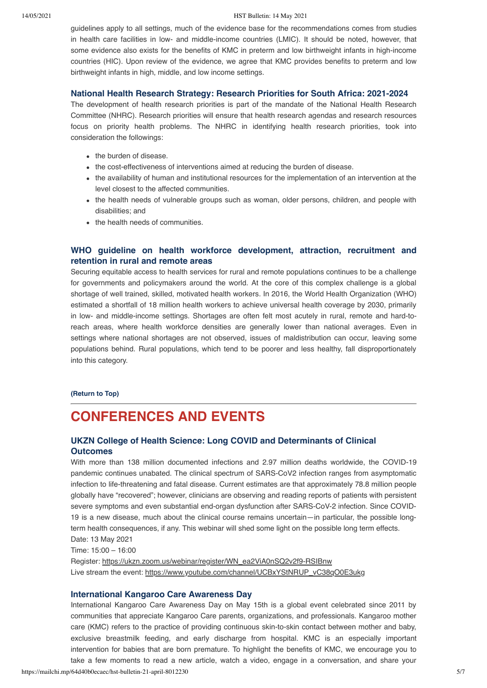#### 14/05/2021 HST Bulletin: 14 May 2021

guidelines apply to all settings, much of the evidence base for the recommendations comes from studies in health care facilities in low- and middle-income countries (LMIC). It should be noted, however, that some evidence also exists for the benefits of KMC in preterm and low birthweight infants in high-income countries (HIC). Upon review of the evidence, we agree that KMC provides benefits to preterm and low birthweight infants in high, middle, and low income settings.

### **[National Health Research Strategy: Research Priorities for South Africa: 2021-2024](http://www.health.gov.za/wp-content/uploads/2021/04/NATIONAL-HEALTH-RESEARCH-STRATEGY-2021-2024.pdf)**

The development of health research priorities is part of the mandate of the National Health Research Committee (NHRC). Research priorities will ensure that health research agendas and research resources focus on priority health problems. The NHRC in identifying health research priorities, took into consideration the followings:

- the burden of disease.
- the cost-effectiveness of interventions aimed at reducing the burden of disease.
- the availability of human and institutional resources for the implementation of an intervention at the level closest to the affected communities.
- the health needs of vulnerable groups such as woman, older persons, children, and people with disabilities; and
- the health needs of communities.

## **[WHO guideline on health workforce development, attraction, recruitment and](https://www.who.int/publications/i/item/9789240024229) retention in rural and remote areas**

Securing equitable access to health services for rural and remote populations continues to be a challenge for governments and policymakers around the world. At the core of this complex challenge is a global shortage of well trained, skilled, motivated health workers. In 2016, the World Health Organization (WHO) estimated a shortfall of 18 million health workers to achieve universal health coverage by 2030, primarily in low- and middle-income settings. Shortages are often felt most acutely in rural, remote and hard-toreach areas, where health workforce densities are generally lower than national averages. Even in settings where national shortages are not observed, issues of maldistribution can occur, leaving some populations behind. Rural populations, which tend to be poorer and less healthy, fall disproportionately into this category.

## **[\(Return to Top\)](#page-0-1)**

# <span id="page-4-0"></span>**CONFERENCES AND EVENTS**

## **UKZN College of Health Science: Long COVID and Determinants of Clinical Outcomes**

With more than 138 million documented infections and 2.97 million deaths worldwide, the COVID-19 pandemic continues unabated. The clinical spectrum of SARS-CoV2 infection ranges from asymptomatic infection to life-threatening and fatal disease. Current estimates are that approximately 78.8 million people globally have "recovered"; however, clinicians are observing and reading reports of patients with persistent severe symptoms and even substantial end-organ dysfunction after SARS-CoV-2 infection. Since COVID-19 is a new disease, much about the clinical course remains uncertain—in particular, the possible longterm health consequences, if any. This webinar will shed some light on the possible long term effects. Date: 13 May 2021

Time: 15:00 – 16:00

Register: https://ukzn.zoom.us/webinar/register/WN\_ea2ViA0nSQ2v2f9-RSIBnw Live stream the event: https://www.youtube.com/channel/UCBxYStNRUP\_vC38qO0E3ukg

#### **[International Kangaroo Care Awareness Day](https://www.healthynewbornnetwork.org/event/international-kangaroo-care-awareness-day/)**

International Kangaroo Care Awareness Day on May 15th is a global event celebrated since 2011 by communities that appreciate Kangaroo Care parents, organizations, and professionals. Kangaroo mother care (KMC) refers to the practice of providing continuous skin-to-skin contact between mother and baby, exclusive breastmilk feeding, and early discharge from hospital. KMC is an especially important intervention for babies that are born premature. To highlight the benefits of KMC, we encourage you to take a few moments to read a new article, watch a video, engage in a conversation, and share your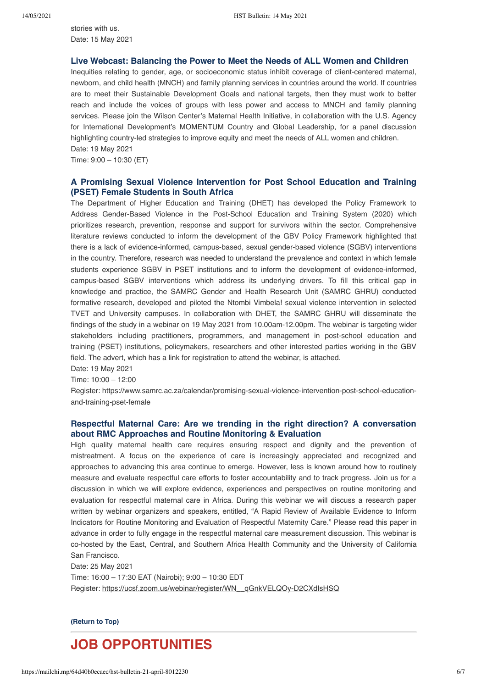stories with us. Date: 15 May 2021

## **[Live Webcast: Balancing the Power to Meet the Needs of ALL Women and Children](https://www.wilsoncenter.org/event/balancing-power-meet-needs-all-women-and-children)**

Inequities relating to gender, age, or socioeconomic status inhibit coverage of client-centered maternal, newborn, and child health (MNCH) and family planning services in countries around the world. If countries are to meet their Sustainable Development Goals and national targets, then they must work to better reach and include the voices of groups with less power and access to MNCH and family planning services. Please join the Wilson Center's Maternal Health Initiative, in collaboration with the U.S. Agency for International Development's MOMENTUM Country and Global Leadership, for a panel discussion highlighting country-led strategies to improve equity and meet the needs of ALL women and children. Date: 19 May 2021

Time: 9:00 – 10:30 (ET)

## **A Promising Sexual Violence Intervention for Post School Education and Training (PSET) Female Students in South Africa**

The Department of Higher Education and Training (DHET) has developed the Policy Framework to Address Gender-Based Violence in the Post-School Education and Training System (2020) which prioritizes research, prevention, response and support for survivors within the sector. Comprehensive literature reviews conducted to inform the development of the GBV Policy Framework highlighted that there is a lack of evidence-informed, campus-based, sexual gender-based violence (SGBV) interventions in the country. Therefore, research was needed to understand the prevalence and context in which female students experience SGBV in PSET institutions and to inform the development of evidence-informed, campus-based SGBV interventions which address its underlying drivers. To fill this critical gap in knowledge and practice, the SAMRC Gender and Health Research Unit (SAMRC GHRU) conducted formative research, developed and piloted the Ntombi Vimbela! sexual violence intervention in selected TVET and University campuses. In collaboration with DHET, the SAMRC GHRU will disseminate the findings of the study in a webinar on 19 May 2021 from 10.00am-12.00pm. The webinar is targeting wider stakeholders including practitioners, programmers, and management in post-school education and training (PSET) institutions, policymakers, researchers and other interested parties working in the GBV field. The advert, which has a link for registration to attend the webinar, is attached.

Date: 19 May 2021

Time: 10:00 – 12:00

Register: https://www.samrc.ac.za/calendar/promising-sexual-violence-intervention-post-school-educationand-training-pset-female

## **Respectful Maternal Care: Are we trending in the right direction? A conversation about RMC Approaches and Routine Monitoring & Evaluation**

High quality maternal health care requires ensuring respect and dignity and the prevention of mistreatment. A focus on the experience of care is increasingly appreciated and recognized and approaches to advancing this area continue to emerge. However, less is known around how to routinely measure and evaluate respectful care efforts to foster accountability and to track progress. Join us for a discussion in which we will explore evidence, experiences and perspectives on routine monitoring and evaluation for respectful maternal care in Africa. During this webinar we will discuss a research paper written by webinar organizers and speakers, entitled, "A Rapid Review of Available Evidence to Inform Indicators for Routine Monitoring and Evaluation of Respectful Maternity Care." Please read this paper in advance in order to fully engage in the respectful maternal care measurement discussion. This webinar is co-hosted by the East, Central, and Southern Africa Health Community and the University of California San Francisco.

Date: 25 May 2021

Time: 16:00 – 17:30 EAT (Nairobi); 9:00 – 10:30 EDT Register: https://ucsf.zoom.us/webinar/register/WN\_\_qGnkVELQOy-D2CXdIsHSQ

**[\(Return to Top\)](#page-0-1)**

# <span id="page-5-0"></span>**JOB OPPORTUNITIES**